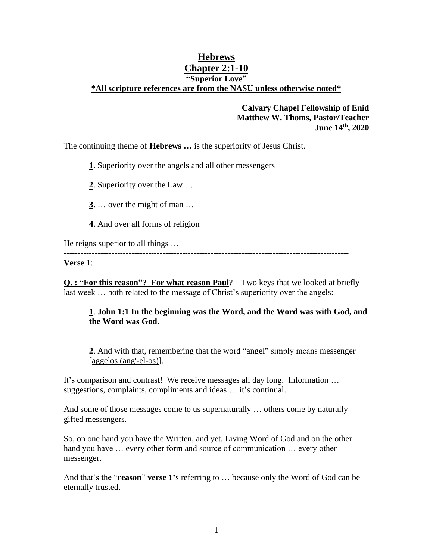# **Hebrews Chapter 2:1-10 "Superior Love" \*All scripture references are from the NASU unless otherwise noted\***

# **Calvary Chapel Fellowship of Enid Matthew W. Thoms, Pastor/Teacher June 14th , 2020**

The continuing theme of **Hebrews …** is the superiority of Jesus Christ.

**1**. Superiority over the angels and all other messengers

**2**. Superiority over the Law …

- **3**. … over the might of man …
- **4**. And over all forms of religion

He reigns superior to all things …

**Verse 1**:

**Q. : "For this reason"? For what reason Paul**? – Two keys that we looked at briefly last week ... both related to the message of Christ's superiority over the angels:

-----------------------------------------------------------------------------------------------------

### **1**. **John 1:1 In the beginning was the Word, and the Word was with God, and the Word was God.**

**2**. And with that, remembering that the word "angel" simply means messenger [aggelos (ang'-el-os)].

It's comparison and contrast! We receive messages all day long. Information … suggestions, complaints, compliments and ideas … it's continual.

And some of those messages come to us supernaturally … others come by naturally gifted messengers.

So, on one hand you have the Written, and yet, Living Word of God and on the other hand you have ... every other form and source of communication ... every other messenger.

And that's the "**reason**" **verse 1'**s referring to … because only the Word of God can be eternally trusted.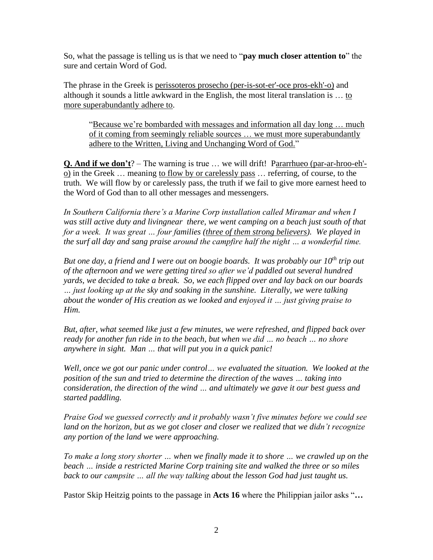So, what the passage is telling us is that we need to "**pay much closer attention to**" the sure and certain Word of God.

The phrase in the Greek is perissoteros prosecho (per-is-sot-er'-oce pros-ekh'-o) and although it sounds a little awkward in the English, the most literal translation is … to more superabundantly adhere to.

"Because we're bombarded with messages and information all day long … much of it coming from seemingly reliable sources … we must more superabundantly adhere to the Written, Living and Unchanging Word of God."

**Q. And if we don't**? – The warning is true … we will drift! Pararrhueo (par-ar-hroo-eh' o) in the Greek … meaning to flow by or carelessly pass … referring, of course, to the truth. We will flow by or carelessly pass, the truth if we fail to give more earnest heed to the Word of God than to all other messages and messengers.

*In Southern California there's a Marine Corp installation called Miramar and when I was still active duty and livingnear there, we went camping on a beach just south of that for a week. It was great … four families (three of them strong believers). We played in the surf all day and sang praise around the campfire half the night … a wonderful time.* 

*But one day, a friend and I were out on boogie boards. It was probably our 10th trip out of the afternoon and we were getting tired so after we'd paddled out several hundred yards, we decided to take a break. So, we each flipped over and lay back on our boards … just looking up at the sky and soaking in the sunshine. Literally, we were talking about the wonder of His creation as we looked and enjoyed it … just giving praise to Him.*

*But, after, what seemed like just a few minutes, we were refreshed, and flipped back over ready for another fun ride in to the beach, but when we did … no beach … no shore anywhere in sight. Man … that will put you in a quick panic!* 

*Well, once we got our panic under control… we evaluated the situation. We looked at the position of the sun and tried to determine the direction of the waves … taking into consideration, the direction of the wind … and ultimately we gave it our best guess and started paddling.* 

*Praise God we guessed correctly and it probably wasn't five minutes before we could see land on the horizon, but as we got closer and closer we realized that we didn't recognize any portion of the land we were approaching.*

*To make a long story shorter … when we finally made it to shore … we crawled up on the beach … inside a restricted Marine Corp training site and walked the three or so miles back to our campsite … all the way talking about the lesson God had just taught us.* 

Pastor Skip Heitzig points to the passage in **Acts 16** where the Philippian jailor asks "**…**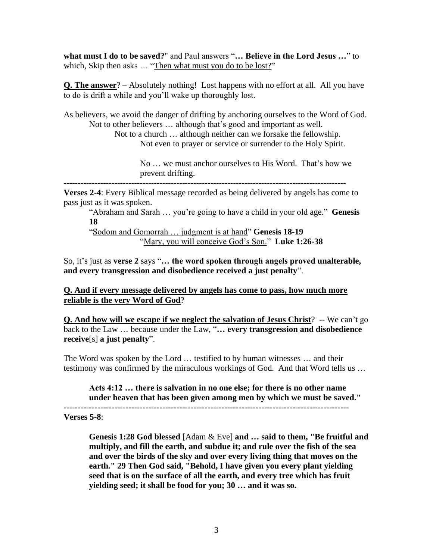**what must I do to be saved?**" and Paul answers "**… Believe in the Lord Jesus …**" to which, Skip then asks ... "Then what must you do to be lost?"

**Q. The answer**? – Absolutely nothing! Lost happens with no effort at all. All you have to do is drift a while and you'll wake up thoroughly lost.

As believers, we avoid the danger of drifting by anchoring ourselves to the Word of God. Not to other believers … although that's good and important as well.

Not to a church … although neither can we forsake the fellowship. Not even to prayer or service or surrender to the Holy Spirit.

> No … we must anchor ourselves to His Word. That's how we prevent drifting.

----------------------------------------------------------------------------------------------------

**Verses 2-4**: Every Biblical message recorded as being delivered by angels has come to pass just as it was spoken.

"Abraham and Sarah … you're going to have a child in your old age." **Genesis 18**

"Sodom and Gomorrah … judgment is at hand" **Genesis 18-19** "Mary, you will conceive God's Son." **Luke 1:26-38**

So, it's just as **verse 2** says "**… the word spoken through angels proved unalterable, and every transgression and disobedience received a just penalty**".

**Q. And if every message delivered by angels has come to pass, how much more reliable is the very Word of God**?

**Q. And how will we escape if we neglect the salvation of Jesus Christ**?-- We can't go back to the Law … because under the Law, "**… every transgression and disobedience receive**[s] **a just penalty**".

The Word was spoken by the Lord … testified to by human witnesses … and their testimony was confirmed by the miraculous workings of God. And that Word tells us …

#### **Acts 4:12 … there is salvation in no one else; for there is no other name under heaven that has been given among men by which we must be saved."**  -----------------------------------------------------------------------------------------------------

**Verses 5-8**:

**Genesis 1:28 God blessed** [Adam & Eve] **and … said to them, "Be fruitful and multiply, and fill the earth, and subdue it; and rule over the fish of the sea and over the birds of the sky and over every living thing that moves on the earth." 29 Then God said, "Behold, I have given you every plant yielding seed that is on the surface of all the earth, and every tree which has fruit yielding seed; it shall be food for you; 30 … and it was so.**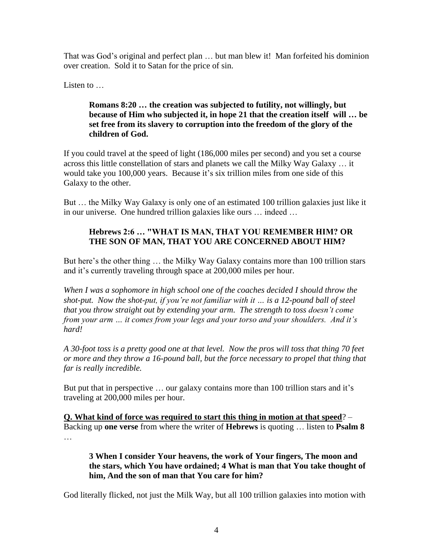That was God's original and perfect plan … but man blew it! Man forfeited his dominion over creation. Sold it to Satan for the price of sin.

Listen to ...

# **Romans 8:20 … the creation was subjected to futility, not willingly, but because of Him who subjected it, in hope 21 that the creation itself will … be set free from its slavery to corruption into the freedom of the glory of the children of God.**

If you could travel at the speed of light (186,000 miles per second) and you set a course across this little constellation of stars and planets we call the Milky Way Galaxy … it would take you 100,000 years. Because it's six trillion miles from one side of this Galaxy to the other.

But … the Milky Way Galaxy is only one of an estimated 100 trillion galaxies just like it in our universe. One hundred trillion galaxies like ours … indeed …

# **Hebrews 2:6 … "WHAT IS MAN, THAT YOU REMEMBER HIM? OR THE SON OF MAN, THAT YOU ARE CONCERNED ABOUT HIM?**

But here's the other thing … the Milky Way Galaxy contains more than 100 trillion stars and it's currently traveling through space at 200,000 miles per hour.

*When I was a sophomore in high school one of the coaches decided I should throw the shot-put. Now the shot-put, if you're not familiar with it … is a 12-pound ball of steel that you throw straight out by extending your arm. The strength to toss doesn't come from your arm … it comes from your legs and your torso and your shoulders. And it's hard!* 

*A 30-foot toss is a pretty good one at that level. Now the pros will toss that thing 70 feet or more and they throw a 16-pound ball, but the force necessary to propel that thing that far is really incredible.* 

But put that in perspective … our galaxy contains more than 100 trillion stars and it's traveling at 200,000 miles per hour.

**Q. What kind of force was required to start this thing in motion at that speed**? – Backing up **one verse** from where the writer of **Hebrews** is quoting … listen to **Psalm 8** …

**3 When I consider Your heavens, the work of Your fingers, The moon and the stars, which You have ordained; 4 What is man that You take thought of him, And the son of man that You care for him?** 

God literally flicked, not just the Milk Way, but all 100 trillion galaxies into motion with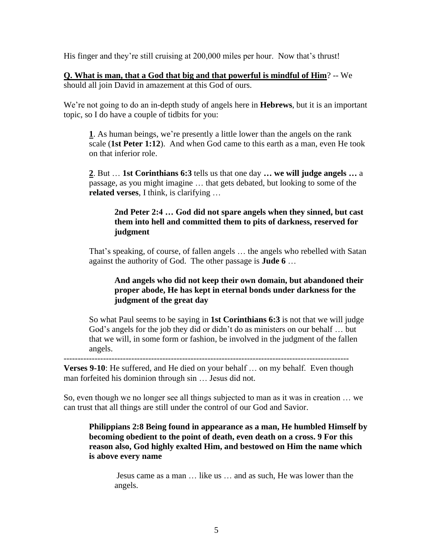His finger and they're still cruising at 200,000 miles per hour. Now that's thrust!

**Q. What is man, that a God that big and that powerful is mindful of Him**? -- We should all join David in amazement at this God of ours.

We're not going to do an in-depth study of angels here in **Hebrews**, but it is an important topic, so I do have a couple of tidbits for you:

**1**. As human beings, we're presently a little lower than the angels on the rank scale (**1st Peter 1:12**). And when God came to this earth as a man, even He took on that inferior role.

**2**. But … **1st Corinthians 6:3** tells us that one day **… we will judge angels …** a passage, as you might imagine … that gets debated, but looking to some of the **related verses**, I think, is clarifying …

### **2nd Peter 2:4 … God did not spare angels when they sinned, but cast them into hell and committed them to pits of darkness, reserved for judgment**

That's speaking, of course, of fallen angels … the angels who rebelled with Satan against the authority of God. The other passage is **Jude 6** …

# **And angels who did not keep their own domain, but abandoned their proper abode, He has kept in eternal bonds under darkness for the judgment of the great day**

So what Paul seems to be saying in **1st Corinthians 6:3** is not that we will judge God's angels for the job they did or didn't do as ministers on our behalf … but that we will, in some form or fashion, be involved in the judgment of the fallen angels.

-----------------------------------------------------------------------------------------------------

**Verses 9-10**: He suffered, and He died on your behalf … on my behalf. Even though man forfeited his dominion through sin … Jesus did not.

So, even though we no longer see all things subjected to man as it was in creation … we can trust that all things are still under the control of our God and Savior.

### **Philippians 2:8 Being found in appearance as a man, He humbled Himself by becoming obedient to the point of death, even death on a cross. 9 For this reason also, God highly exalted Him, and bestowed on Him the name which is above every name**

Jesus came as a man … like us … and as such, He was lower than the angels.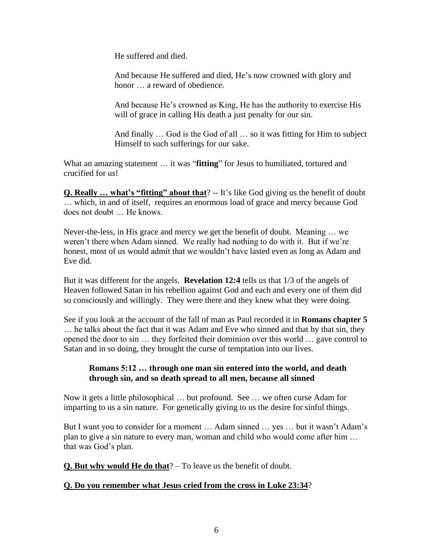He suffered and died.

And because He suffered and died, He's now crowned with glory and honor  $\ldots$  a reward of obedience.

And because He's crowned as King, He has the authority to exercise His will of grace in calling His death a just penalty for our sin.

And finally … God is the God of all … so it was fitting for Him to subject Himself to such sufferings for our sake.

What an amazing statement … it was "**fitting**" for Jesus to humiliated, tortured and crucified for us!

**Q. Really ... what's "fitting" about that**? -- It's like God giving us the benefit of doubt … which, in and of itself, requires an enormous load of grace and mercy because God does not doubt … He knows.

Never-the-less, in His grace and mercy we get the benefit of doubt. Meaning … we weren't there when Adam sinned. We really had nothing to do with it. But if we're honest, most of us would admit that we wouldn't have lasted even as long as Adam and Eve did.

But it was different for the angels. **Revelation 12:4** tells us that 1/3 of the angels of Heaven followed Satan in his rebellion against God and each and every one of them did so consciously and willingly. They were there and they knew what they were doing.

See if you look at the account of the fall of man as Paul recorded it in **Romans chapter 5** … he talks about the fact that it was Adam and Eve who sinned and that by that sin, they opened the door to sin … they forfeited their dominion over this world … gave control to Satan and in so doing, they brought the curse of temptation into our lives.

### **Romans 5:12 … through one man sin entered into the world, and death through sin, and so death spread to all men, because all sinned**

Now it gets a little philosophical … but profound. See … we often curse Adam for imparting to us a sin nature. For genetically giving to us the desire for sinful things.

But I want you to consider for a moment … Adam sinned … yes … but it wasn't Adam's plan to give a sin nature to every man, woman and child who would come after him … that was God's plan.

**Q. But why would He do that**? – To leave us the benefit of doubt.

# **Q. Do you remember what Jesus cried from the cross in Luke 23:34**?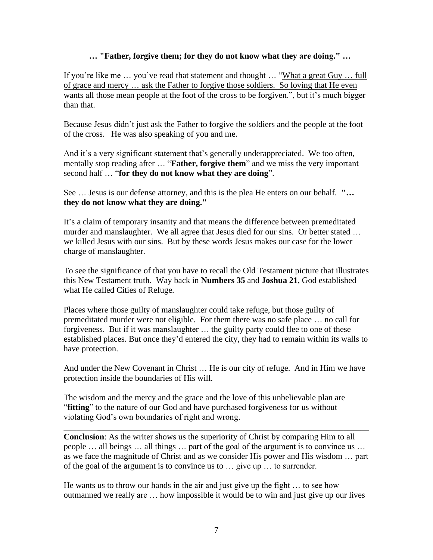### **… "Father, forgive them; for they do not know what they are doing." …**

If you're like me … you've read that statement and thought … "What a great Guy … full of grace and mercy … ask the Father to forgive those soldiers. So loving that He even wants all those mean people at the foot of the cross to be forgiven.", but it's much bigger than that.

Because Jesus didn't just ask the Father to forgive the soldiers and the people at the foot of the cross. He was also speaking of you and me.

And it's a very significant statement that's generally underappreciated. We too often, mentally stop reading after … "**Father, forgive them**" and we miss the very important second half … "**for they do not know what they are doing**".

See … Jesus is our defense attorney, and this is the plea He enters on our behalf. **"… they do not know what they are doing."** 

It's a claim of temporary insanity and that means the difference between premeditated murder and manslaughter. We all agree that Jesus died for our sins. Or better stated … we killed Jesus with our sins. But by these words Jesus makes our case for the lower charge of manslaughter.

To see the significance of that you have to recall the Old Testament picture that illustrates this New Testament truth. Way back in **Numbers 35** and **Joshua 21**, God established what He called Cities of Refuge.

Places where those guilty of manslaughter could take refuge, but those guilty of premeditated murder were not eligible. For them there was no safe place … no call for forgiveness. But if it was manslaughter … the guilty party could flee to one of these established places. But once they'd entered the city, they had to remain within its walls to have protection.

And under the New Covenant in Christ … He is our city of refuge. And in Him we have protection inside the boundaries of His will.

The wisdom and the mercy and the grace and the love of this unbelievable plan are "**fitting**" to the nature of our God and have purchased forgiveness for us without violating God's own boundaries of right and wrong.

**Conclusion**: As the writer shows us the superiority of Christ by comparing Him to all people … all beings … all things … part of the goal of the argument is to convince us … as we face the magnitude of Christ and as we consider His power and His wisdom … part of the goal of the argument is to convince us to … give up … to surrender.

\_\_\_\_\_\_\_\_**\_\_\_\_\_\_\_\_\_\_\_\_\_\_\_\_\_\_\_\_\_\_\_\_\_\_\_\_\_\_\_\_\_\_\_\_\_\_\_\_\_\_\_\_\_\_\_\_\_\_\_\_\_\_\_\_\_\_\_\_\_\_\_\_**

He wants us to throw our hands in the air and just give up the fight … to see how outmanned we really are … how impossible it would be to win and just give up our lives